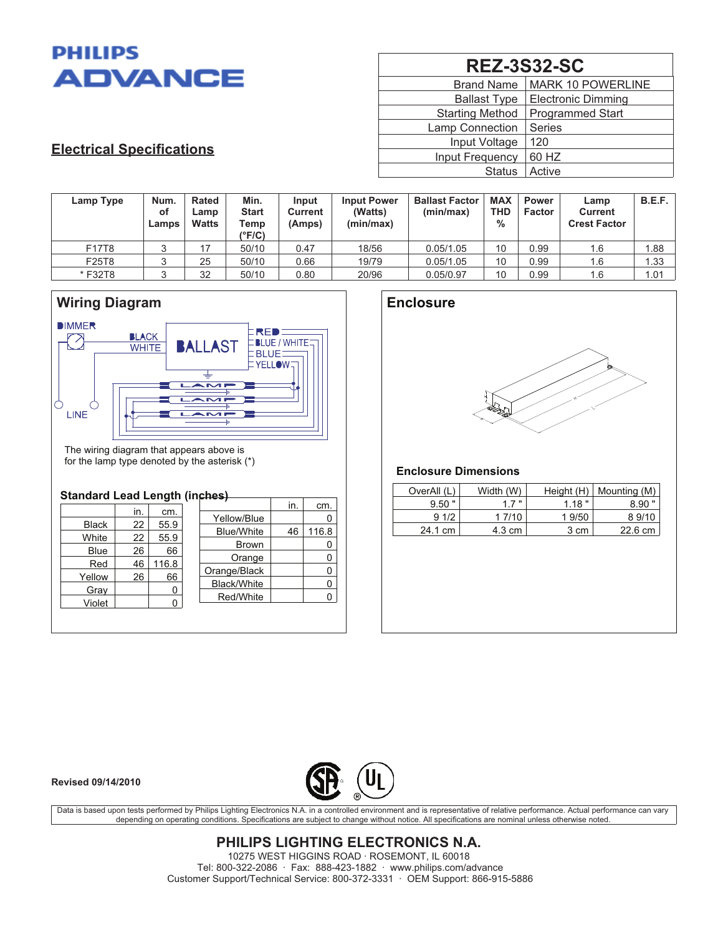

| <b>REZ-3S32-SC</b>     |                           |  |  |  |  |
|------------------------|---------------------------|--|--|--|--|
| <b>Brand Name</b>      | <b>MARK 10 POWERLINE</b>  |  |  |  |  |
| <b>Ballast Type</b>    | <b>Electronic Dimming</b> |  |  |  |  |
| <b>Starting Method</b> | <b>Programmed Start</b>   |  |  |  |  |
| Lamp Connection        | <b>Series</b>             |  |  |  |  |
| Input Voltage          | 120                       |  |  |  |  |
| Input Frequency        | 60 HZ                     |  |  |  |  |
| <b>Status</b>          | Active                    |  |  |  |  |

# **Electrical Specifications**

| Lamp Type | Num.<br>оf<br>Lamps | <b>Rated</b><br>Lamp<br><b>Watts</b> | Min.<br><b>Start</b><br>Temp<br>$\rm ^{o}F/C$ ) | Input<br>Current<br>(Amps) | <b>Input Power</b><br>(Watts)<br>(min/max) | <b>Ballast Factor</b><br>(min/max) | <b>MAX</b><br><b>THD</b><br>$\%$ | Power<br>Factor | Lamp<br><b>Current</b><br><b>Crest Factor</b> | B.E.F. |
|-----------|---------------------|--------------------------------------|-------------------------------------------------|----------------------------|--------------------------------------------|------------------------------------|----------------------------------|-----------------|-----------------------------------------------|--------|
| F17T8     | ◠<br>J              |                                      | 50/10                                           | 0.47                       | 18/56                                      | 0.05/1.05                          | 10                               | 0.99            | 1.6                                           | 1.88   |
| F25T8     | ر                   | 25                                   | 50/10                                           | 0.66                       | 19/79                                      | 0.05/1.05                          | 10                               | 0.99            | 1.6                                           | 1.33   |
| *F32T8    |                     | 32                                   | 50/10                                           | 0.80                       | 20/96                                      | 0.05/0.97                          | 10                               | 0.99            | 1.6                                           | 1.01   |



The wiring diagram that appears above is for the lamp type denoted by the asterisk (\*)

### **Standard Lead Length (inches)**

| in.<br>cm.<br>Yellow/Blue<br>55.9<br>22<br><b>Black</b><br><b>Blue/White</b> |       |
|------------------------------------------------------------------------------|-------|
|                                                                              |       |
|                                                                              |       |
| 46<br>55.9<br>White<br>22                                                    | 116.8 |
| <b>Brown</b>                                                                 | O     |
| 66<br>26<br>Blue<br>Orange                                                   | 0     |
| 116.8<br>Red<br>46                                                           |       |
| Orange/Black<br>66<br>Yellow<br>26                                           | 0     |
| <b>Black/White</b>                                                           | 0     |
| Gray<br>0<br>Red/White                                                       | O     |
| Violet                                                                       |       |
|                                                                              |       |

## **Enclosure**



### **Enclosure Dimensions**

| OverAll (L) | Width (W) | Height $(H)$ | Mounting (M) |
|-------------|-----------|--------------|--------------|
| $9.50$ "    | 17"       | 1.18"        | $8.90$ "     |
| 91/2        | 1 7/10    | 1 9/50       | 89/10        |
| 24.1 cm     | 4.3 cm    | 3 cm         | 22.6 cm      |

#### **Revised 09/14/2010**



Data is based upon tests performed by Philips Lighting Electronics N.A. in a controlled environment and is representative of relative performance. Actual performance can vary depending on operating conditions. Specifications are subject to change without notice. All specifications are nominal unless otherwise noted.

> **PHILIPS LIGHTING ELECTRONICS N.A.** 10275 WEST HIGGINS ROAD · ROSEMONT, IL 60018 Tel: 800-322-2086 · Fax: 888-423-1882 · www.philips.com/advance Customer Support/Technical Service: 800-372-3331 · OEM Support: 866-915-5886